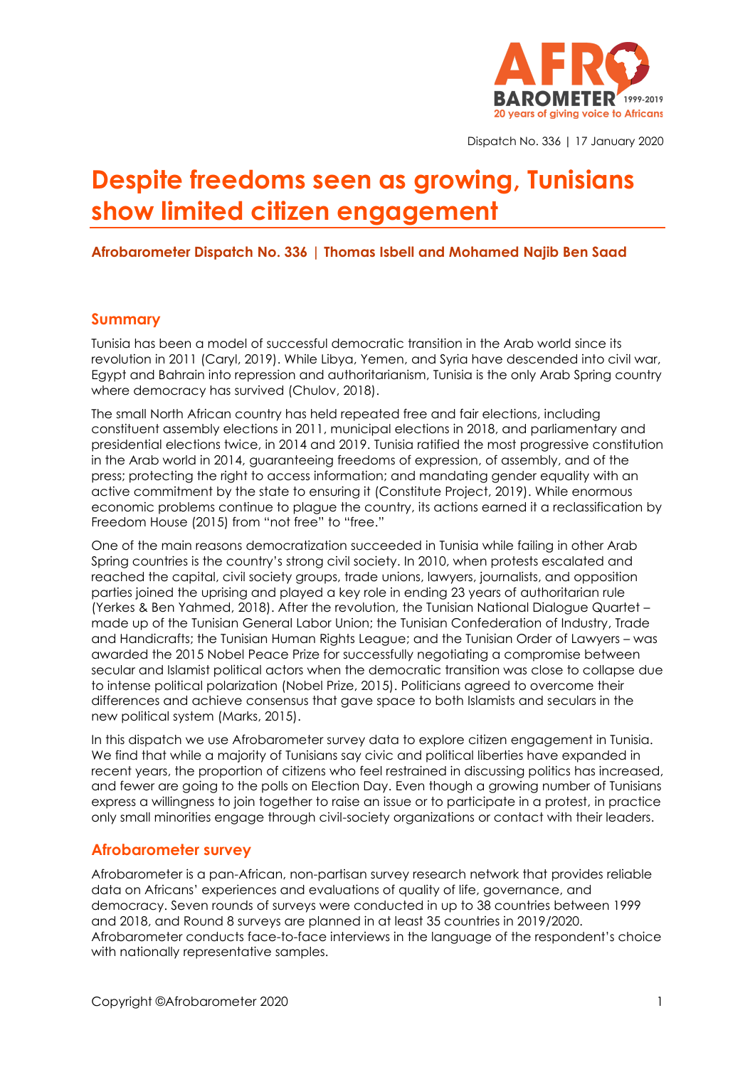

Dispatch No. 336 | 17 January 2020

# **Despite freedoms seen as growing, Tunisians show limited citizen engagement**

#### **Afrobarometer Dispatch No. 336 | Thomas Isbell and Mohamed Najib Ben Saad**

#### **Summary**

Tunisia has been a model of successful democratic transition in the Arab world since its revolution in 2011 (Caryl, 2019). While Libya, Yemen, and Syria have descended into civil war, Egypt and Bahrain into repression and authoritarianism, Tunisia is the only Arab Spring country where democracy has survived (Chulov, 2018).

The small North African country has held repeated free and fair elections, including constituent assembly elections in 2011, municipal elections in 2018, and parliamentary and presidential elections twice, in 2014 and 2019. Tunisia ratified the most progressive constitution in the Arab world in 2014, guaranteeing freedoms of expression, of assembly, and of the press; protecting the right to access information; and mandating gender equality with an active commitment by the state to ensuring it (Constitute Project, 2019). While enormous economic problems continue to plague the country, its actions earned it a reclassification by Freedom House (2015) from "not free" to "free."

One of the main reasons democratization succeeded in Tunisia while failing in other Arab Spring countries is the country's strong civil society. In 2010, when protests escalated and reached the capital, civil society groups, trade unions, lawyers, journalists, and opposition parties joined the uprising and played a key role in ending 23 years of authoritarian rule (Yerkes & Ben Yahmed, 2018). After the revolution, the Tunisian National Dialogue Quartet – made up of the Tunisian General Labor Union; the Tunisian Confederation of Industry, Trade and Handicrafts; the Tunisian Human Rights League; and the Tunisian Order of Lawyers – was awarded the 2015 Nobel Peace Prize for successfully negotiating a compromise between secular and Islamist political actors when the democratic transition was close to collapse due to intense political polarization (Nobel Prize, 2015). Politicians agreed to overcome their differences and achieve consensus that gave space to both Islamists and seculars in the new political system (Marks, 2015).

In this dispatch we use Afrobarometer survey data to explore citizen engagement in Tunisia. We find that while a majority of Tunisians say civic and political liberties have expanded in recent years, the proportion of citizens who feel restrained in discussing politics has increased, and fewer are going to the polls on Election Day. Even though a growing number of Tunisians express a willingness to join together to raise an issue or to participate in a protest, in practice only small minorities engage through civil-society organizations or contact with their leaders.

#### **Afrobarometer survey**

Afrobarometer is a pan-African, non-partisan survey research network that provides reliable data on Africans' experiences and evaluations of quality of life, governance, and democracy. Seven rounds of surveys were conducted in up to 38 countries between 1999 and 2018, and Round 8 surveys are planned in at least 35 countries in 2019/2020. Afrobarometer conducts face-to-face interviews in the language of the respondent's choice with nationally representative samples.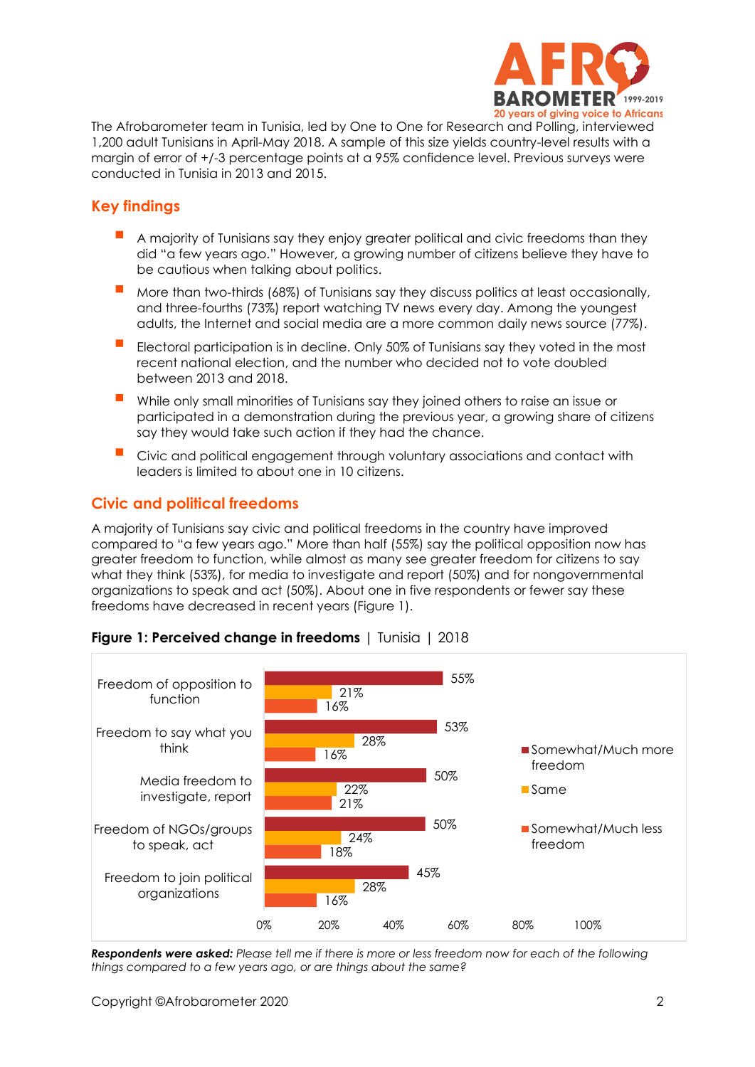

The Afrobarometer team in Tunisia, led by One to One for Research and Polling, interviewed 1,200 adult Tunisians in April-May 2018. A sample of this size yields country-level results with a margin of error of +/-3 percentage points at a 95% confidence level. Previous surveys were conducted in Tunisia in 2013 and 2015.

# **Key findings**

- A majority of Tunisians say they enjoy greater political and civic freedoms than they did "a few years ago." However, a growing number of citizens believe they have to be cautious when talking about politics.
- More than two-thirds (68%) of Tunisians say they discuss politics at least occasionally, and three-fourths (73%) report watching TV news every day. Among the youngest adults, the Internet and social media are a more common daily news source (77%).
- Electoral participation is in decline. Only 50% of Tunisians say they voted in the most recent national election, and the number who decided not to vote doubled between 2013 and 2018.
- While only small minorities of Tunisians say they joined others to raise an issue or participated in a demonstration during the previous year, a growing share of citizens say they would take such action if they had the chance.
- Civic and political engagement through voluntary associations and contact with leaders is limited to about one in 10 citizens.

# **Civic and political freedoms**

A majority of Tunisians say civic and political freedoms in the country have improved compared to "a few years ago." More than half (55%) say the political opposition now has greater freedom to function, while almost as many see greater freedom for citizens to say what they think (53%), for media to investigate and report (50%) and for nongovernmental organizations to speak and act (50%). About one in five respondents or fewer say these freedoms have decreased in recent years (Figure 1).



### **Figure 1: Perceived change in freedoms** | Tunisia | 2018

*Respondents were asked: Please tell me if there is more or less freedom now for each of the following things compared to a few years ago, or are things about the same?*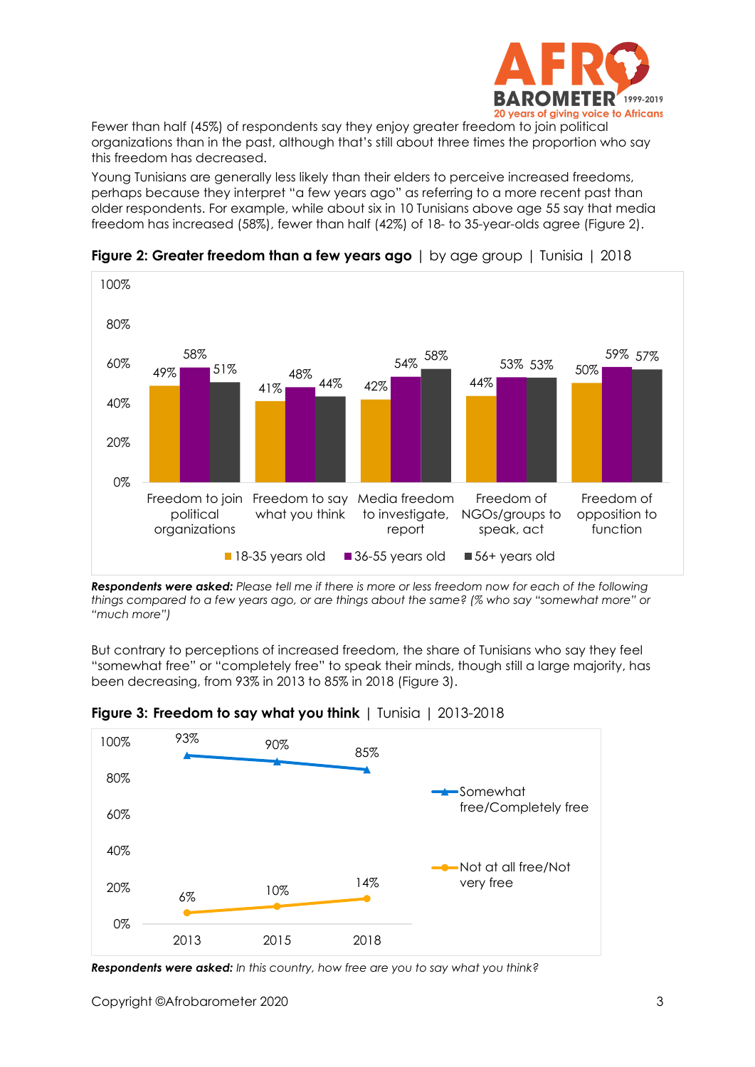

Fewer than half (45%) of respondents say they enjoy greater freedom to join political organizations than in the past, although that's still about three times the proportion who say this freedom has decreased.

Young Tunisians are generally less likely than their elders to perceive increased freedoms, perhaps because they interpret "a few years ago" as referring to a more recent past than older respondents. For example, while about six in 10 Tunisians above age 55 say that media freedom has increased (58%), fewer than half (42%) of 18- to 35-year-olds agree (Figure 2).



**Figure 2: Greater freedom than a few years ago** | by age group | Tunisia | 2018

*Respondents were asked: Please tell me if there is more or less freedom now for each of the following things compared to a few years ago, or are things about the same? (% who say "somewhat more" or "much more")*

But contrary to perceptions of increased freedom, the share of Tunisians who say they feel "somewhat free" or "completely free" to speak their minds, though still a large majority, has been decreasing, from 93% in 2013 to 85% in 2018 (Figure 3).



**Figure 3: Freedom to say what you think** | Tunisia | 2013-2018

*Respondents were asked: In this country, how free are you to say what you think?*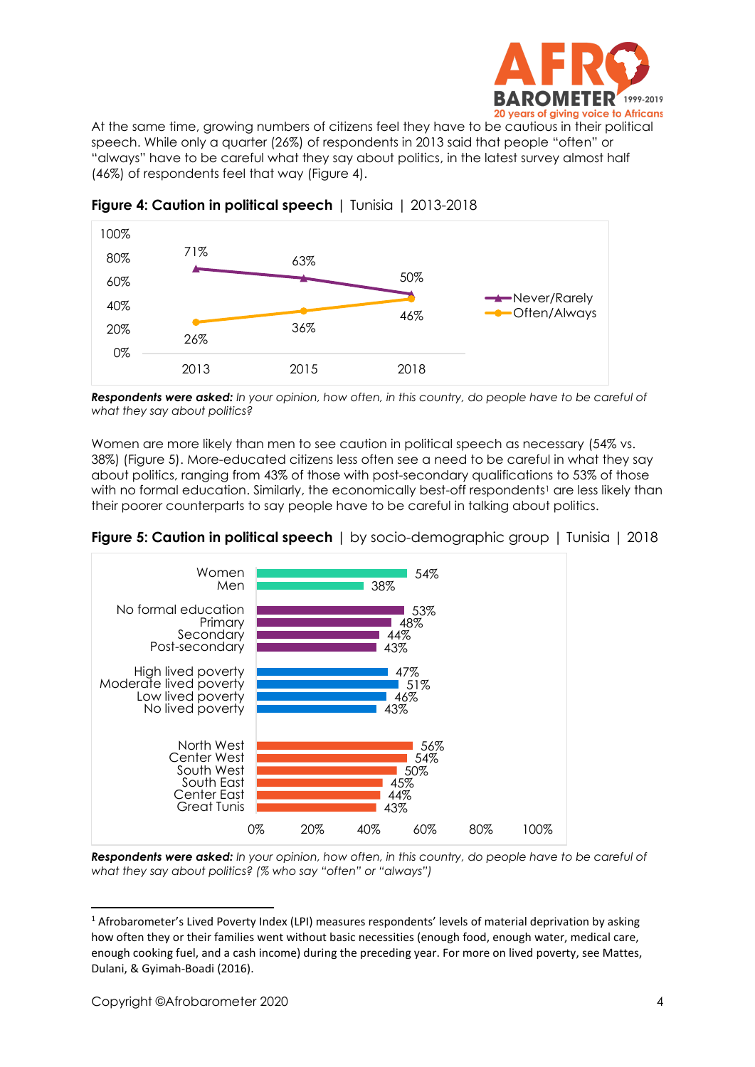

At the same time, growing numbers of citizens feel they have to be cautious in their political speech. While only a quarter (26%) of respondents in 2013 said that people "often" or "always" have to be careful what they say about politics, in the latest survey almost half (46%) of respondents feel that way (Figure 4).



**Figure 4: Caution in political speech** | Tunisia | 2013-2018

*Respondents were asked: In your opinion, how often, in this country, do people have to be careful of what they say about politics?*

Women are more likely than men to see caution in political speech as necessary (54% vs. 38%) (Figure 5). More-educated citizens less often see a need to be careful in what they say about politics, ranging from 43% of those with post-secondary qualifications to 53% of those with no formal education. Similarly, the economically best-off respondents<sup>1</sup> are less likely than their poorer counterparts to say people have to be careful in talking about politics.





*Respondents were asked: In your opinion, how often, in this country, do people have to be careful of what they say about politics? (% who say "often" or "always")*

<sup>&</sup>lt;sup>1</sup> Afrobarometer's Lived Poverty Index (LPI) measures respondents' levels of material deprivation by asking how often they or their families went without basic necessities (enough food, enough water, medical care, enough cooking fuel, and a cash income) during the preceding year. For more on lived poverty, see Mattes, Dulani, & Gyimah-Boadi (2016).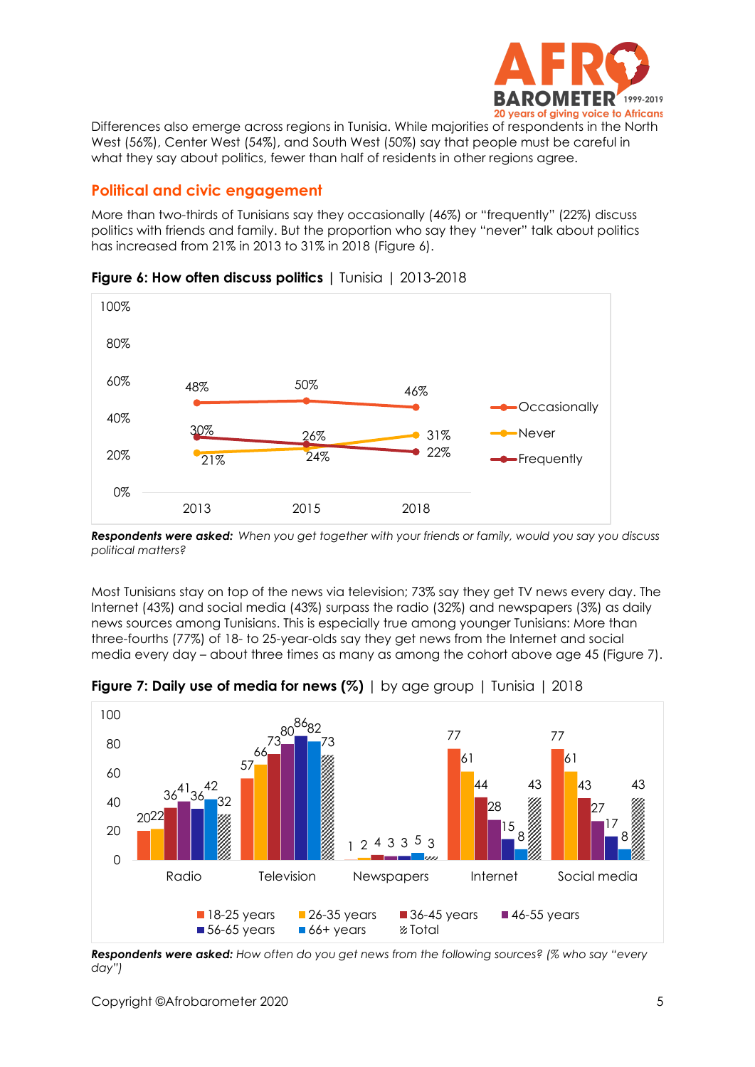

Differences also emerge across regions in Tunisia. While majorities of respondents in the North West (56%), Center West (54%), and South West (50%) say that people must be careful in what they say about politics, fewer than half of residents in other regions agree.

## **Political and civic engagement**

More than two-thirds of Tunisians say they occasionally (46%) or "frequently" (22%) discuss politics with friends and family. But the proportion who say they "never" talk about politics has increased from 21% in 2013 to 31% in 2018 (Figure 6).



**Figure 6: How often discuss politics |** Tunisia | 2013-2018

*Respondents were asked: When you get together with your friends or family, would you say you discuss political matters?*

Most Tunisians stay on top of the news via television; 73% say they get TV news every day. The Internet (43%) and social media (43%) surpass the radio (32%) and newspapers (3%) as daily news sources among Tunisians. This is especially true among younger Tunisians: More than three-fourths (77%) of 18- to 25-year-olds say they get news from the Internet and social media every day – about three times as many as among the cohort above age 45 (Figure 7).



**Figure 7: Daily use of media for news (%)** | by age group | Tunisia | 2018

*Respondents were asked: How often do you get news from the following sources? (% who say "every day")*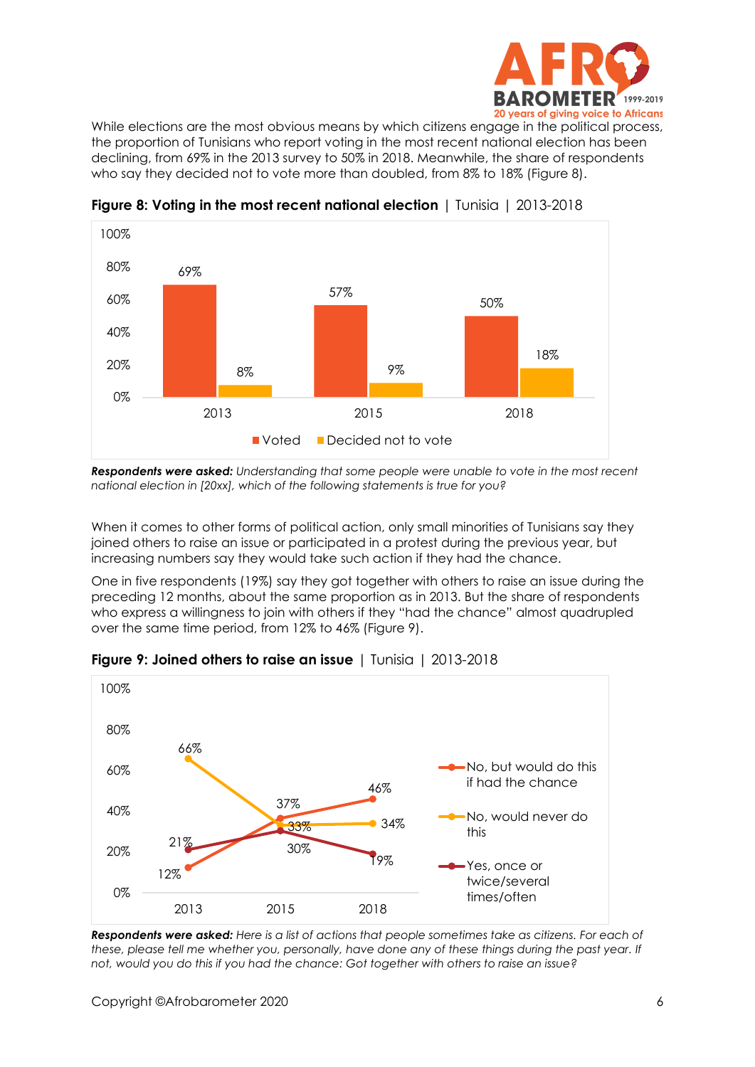

While elections are the most obvious means by which citizens engage in the political process, the proportion of Tunisians who report voting in the most recent national election has been declining, from 69% in the 2013 survey to 50% in 2018. Meanwhile, the share of respondents who say they decided not to vote more than doubled, from 8% to 18% (Figure 8).



**Figure 8: Voting in the most recent national election** | Tunisia | 2013-2018

*Respondents were asked: Understanding that some people were unable to vote in the most recent national election in [20xx], which of the following statements is true for you?*

When it comes to other forms of political action, only small minorities of Tunisians say they joined others to raise an issue or participated in a protest during the previous year, but increasing numbers say they would take such action if they had the chance.

One in five respondents (19%) say they got together with others to raise an issue during the preceding 12 months, about the same proportion as in 2013. But the share of respondents who express a willingness to join with others if they "had the chance" almost quadrupled over the same time period, from 12% to 46% (Figure 9).



**Figure 9: Joined others to raise an issue** | Tunisia | 2013-2018

*Respondents were asked: Here is a list of actions that people sometimes take as citizens. For each of these, please tell me whether you, personally, have done any of these things during the past year. If not, would you do this if you had the chance: Got together with others to raise an issue?*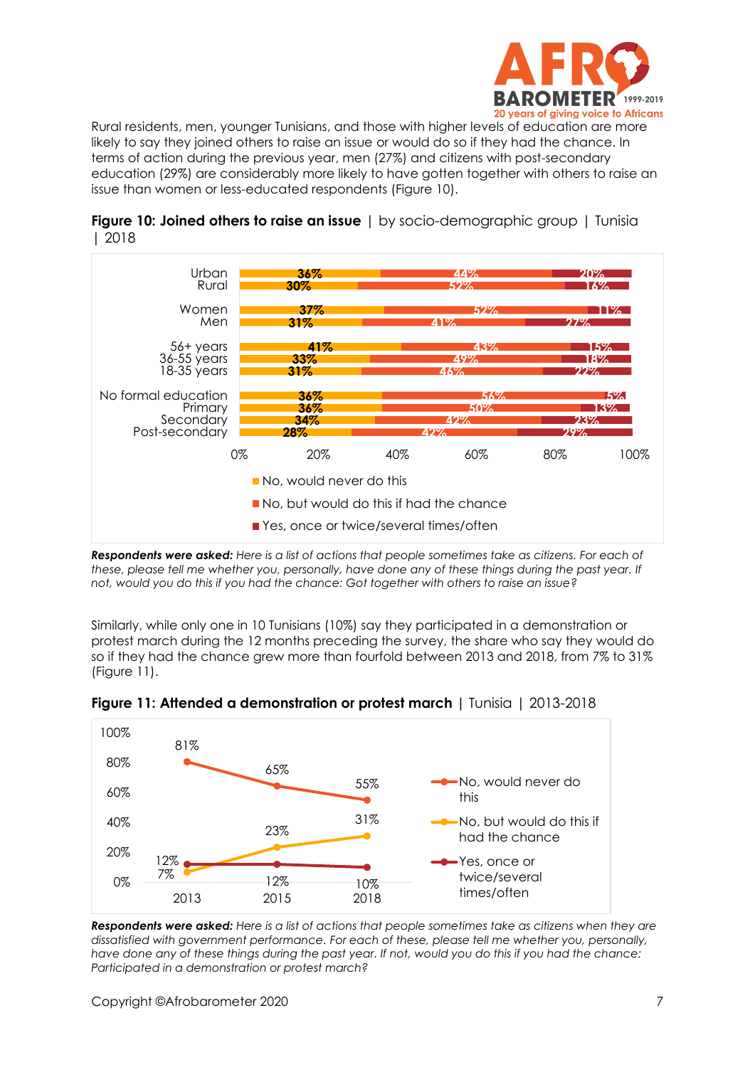

Rural residents, men, younger Tunisians, and those with higher levels of education are more likely to say they joined others to raise an issue or would do so if they had the chance. In terms of action during the previous year, men (27%) and citizens with post-secondary education (29%) are considerably more likely to have gotten together with others to raise an issue than women or less-educated respondents (Figure 10).



**Figure 10: Joined others to raise an issue** | by socio-demographic group | Tunisia | 2018

*Respondents were asked: Here is a list of actions that people sometimes take as citizens. For each of these, please tell me whether you, personally, have done any of these things during the past year. If not, would you do this if you had the chance: Got together with others to raise an issue?*

Similarly, while only one in 10 Tunisians (10%) say they participated in a demonstration or protest march during the 12 months preceding the survey, the share who say they would do so if they had the chance grew more than fourfold between 2013 and 2018, from 7% to 31% (Figure 11).



**Figure 11: Attended a demonstration or protest march |** Tunisia | 2013-2018

*Respondents were asked: Here is a list of actions that people sometimes take as citizens when they are dissatisfied with government performance. For each of these, please tell me whether you, personally, have done any of these things during the past year. If not, would you do this if you had the chance: Participated in a demonstration or protest march?*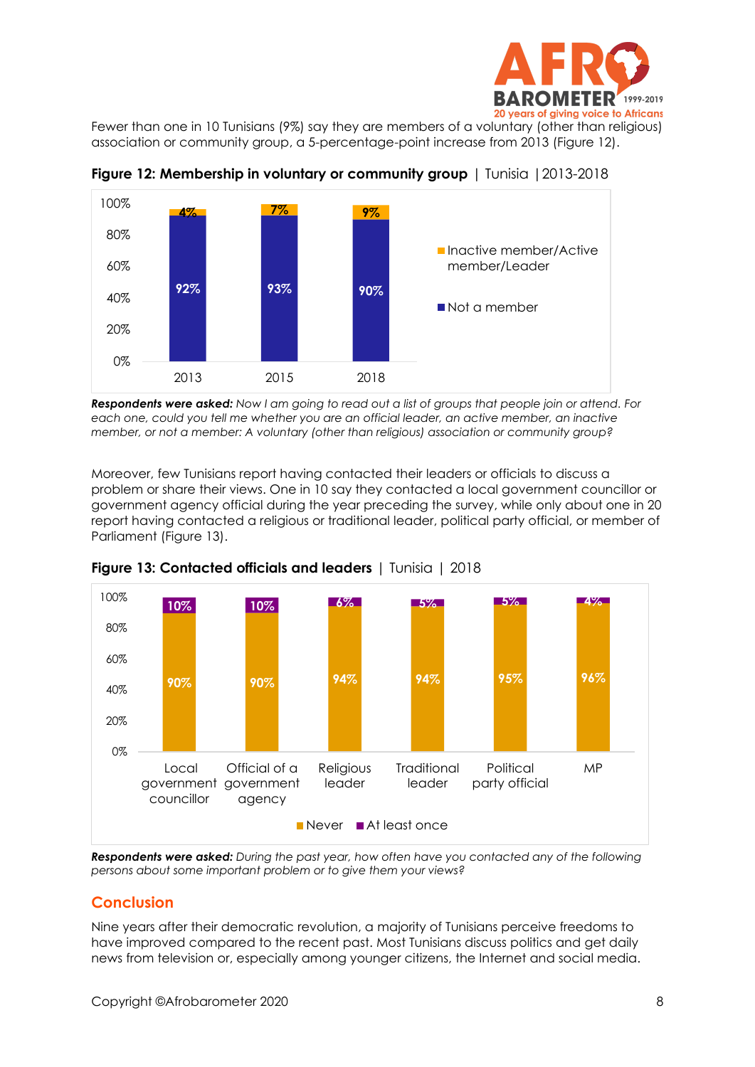

Fewer than one in 10 Tunisians (9%) say they are members of a voluntary (other than religious) association or community group, a 5-percentage-point increase from 2013 (Figure 12).



**Figure 12: Membership in voluntary or community group** | Tunisia |2013-2018

*Respondents were asked: Now I am going to read out a list of groups that people join or attend. For each one, could you tell me whether you are an official leader, an active member, an inactive member, or not a member: A voluntary (other than religious) association or community group?*

Moreover, few Tunisians report having contacted their leaders or officials to discuss a problem or share their views. One in 10 say they contacted a local government councillor or government agency official during the year preceding the survey, while only about one in 20 report having contacted a religious or traditional leader, political party official, or member of Parliament (Figure 13).



**Figure 13: Contacted officials and leaders** | Tunisia | 2018

*Respondents were asked: During the past year, how often have you contacted any of the following persons about some important problem or to give them your views?*

# **Conclusion**

Nine years after their democratic revolution, a majority of Tunisians perceive freedoms to have improved compared to the recent past. Most Tunisians discuss politics and get daily news from television or, especially among younger citizens, the Internet and social media.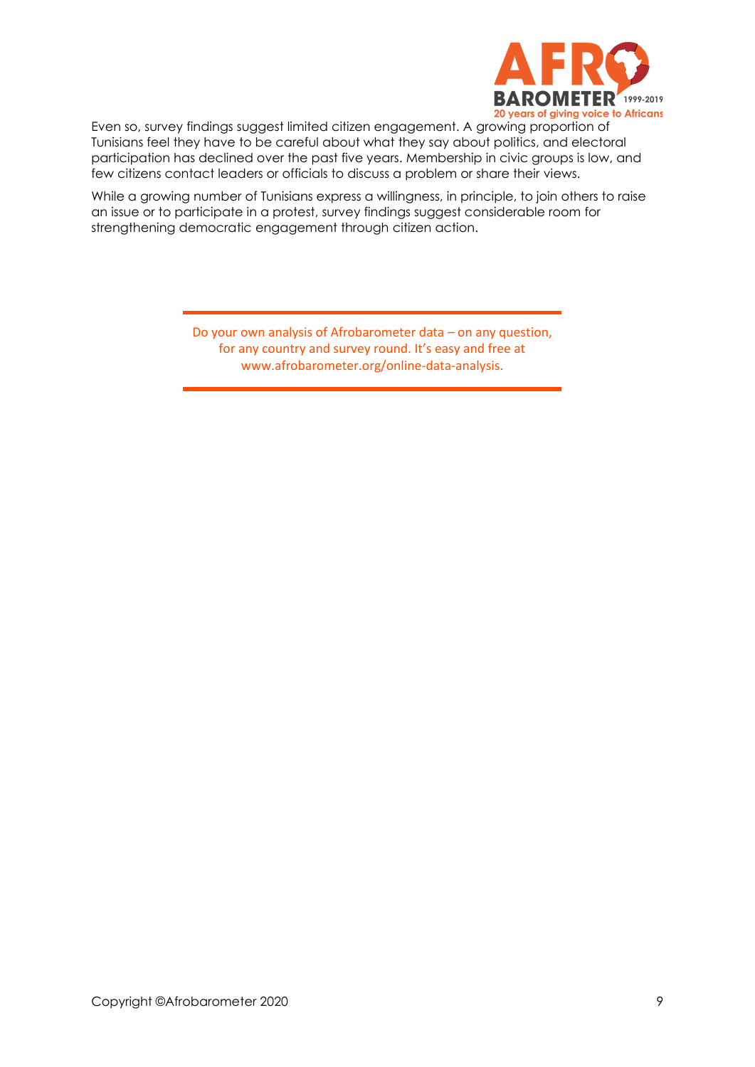

Even so, survey findings suggest limited citizen engagement. A growing proportion of Tunisians feel they have to be careful about what they say about politics, and electoral participation has declined over the past five years. Membership in civic groups is low, and few citizens contact leaders or officials to discuss a problem or share their views.

While a growing number of Tunisians express a willingness, in principle, to join others to raise an issue or to participate in a protest, survey findings suggest considerable room for strengthening democratic engagement through citizen action.

> Do your own analysis of Afrobarometer data – on any question, for any country and survey round. It's easy and free at www.afrobarometer.org/online-data-analysis.